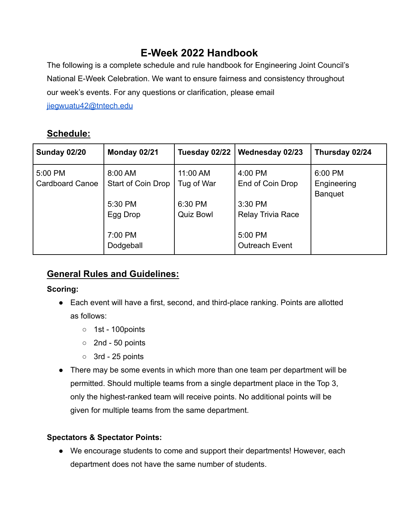# **E-Week 2022 Handbook**

The following is a complete schedule and rule handbook for Engineering Joint Council's National E-Week Celebration. We want to ensure fairness and consistency throughout our week's events. For any questions or clarification, please email

[jiegwuatu42@tntech.edu](mailto:jiegwuatu42@tntech.edu)

## **Schedule:**

| <b>Sunday 02/20</b>               | Monday 02/21                   | Tuesday 02/22               | <b>Wednesday 02/23</b>                         | Thursday 02/24                           |
|-----------------------------------|--------------------------------|-----------------------------|------------------------------------------------|------------------------------------------|
| 5:00 PM<br><b>Cardboard Canoe</b> | 8:00 AM<br>Start of Coin Drop  | 11:00 AM<br>Tug of War      | 4:00 PM<br>End of Coin Drop                    | 6:00 PM<br>Engineering<br><b>Banquet</b> |
|                                   | 5:30 PM<br>Egg Drop<br>7:00 PM | 6:30 PM<br><b>Quiz Bowl</b> | 3:30 PM<br><b>Relay Trivia Race</b><br>5:00 PM |                                          |
|                                   | Dodgeball                      |                             | <b>Outreach Event</b>                          |                                          |

## **General Rules and Guidelines:**

## **Scoring:**

- Each event will have a first, second, and third-place ranking. Points are allotted as follows:
	- 1st 100points
	- 2nd 50 points
	- $\circ$  3rd 25 points
- There may be some events in which more than one team per department will be permitted. Should multiple teams from a single department place in the Top 3, only the highest-ranked team will receive points. No additional points will be given for multiple teams from the same department.

## **Spectators & Spectator Points:**

● We encourage students to come and support their departments! However, each department does not have the same number of students.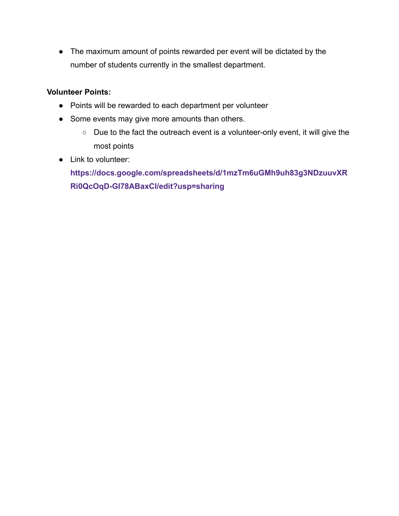● The maximum amount of points rewarded per event will be dictated by the number of students currently in the smallest department.

#### **Volunteer Points:**

- Points will be rewarded to each department per volunteer
- Some events may give more amounts than others.
	- Due to the fact the outreach event is a volunteer-only event, it will give the most points
- Link to volunteer:

**[https://docs.google.com/spreadsheets/d/1mzTm6uGMh9uh83g3NDzuuvXR](https://docs.google.com/spreadsheets/d/1mzTm6uGMh9uh83g3NDzuuvXRRi0QcOqD-GI78ABaxCI/edit?usp=sharing) [Ri0QcOqD-GI78ABaxCI/edit?usp=sharing](https://docs.google.com/spreadsheets/d/1mzTm6uGMh9uh83g3NDzuuvXRRi0QcOqD-GI78ABaxCI/edit?usp=sharing)**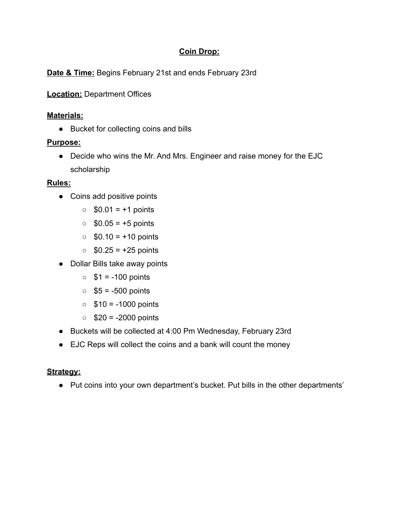## **Coin Drop:**

**Date & Time:** Begins February 21st and ends February 23rd

**Location:** Department Offices

## **Materials:**

● Bucket for collecting coins and bills

## **Purpose:**

● Decide who wins the Mr. And Mrs. Engineer and raise money for the EJC scholarship

## **Rules:**

- Coins add positive points
	- $\circ$  \$0.01 = +1 points
	- $\circ$  \$0.05 = +5 points
	- $\circ$  \$0.10 = +10 points
	- $\circ$  \$0.25 = +25 points
- Dollar Bills take away points
	- $\circ$  \$1 = -100 points
	- $\circ$  \$5 = -500 points
	- $\circ$  \$10 = -1000 points
	- $\circ$  \$20 = -2000 points
- Buckets will be collected at 4:00 Pm Wednesday, February 23rd
- EJC Reps will collect the coins and a bank will count the money

## **Strategy:**

● Put coins into your own department's bucket. Put bills in the other departments'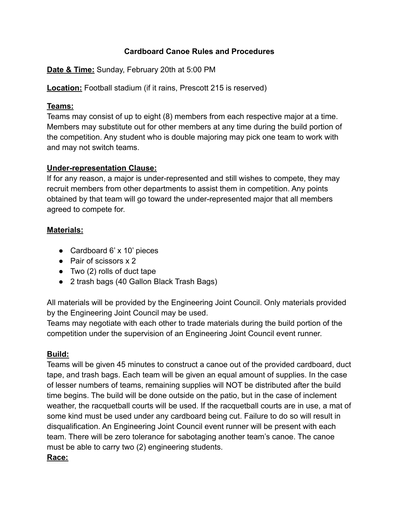#### **Cardboard Canoe Rules and Procedures**

**Date & Time:** Sunday, February 20th at 5:00 PM

**Location:** Football stadium (if it rains, Prescott 215 is reserved)

#### **Teams:**

Teams may consist of up to eight (8) members from each respective major at a time. Members may substitute out for other members at any time during the build portion of the competition. Any student who is double majoring may pick one team to work with and may not switch teams.

#### **Under-representation Clause:**

If for any reason, a major is under-represented and still wishes to compete, they may recruit members from other departments to assist them in competition. Any points obtained by that team will go toward the under-represented major that all members agreed to compete for.

#### **Materials:**

- Cardboard 6' x 10' pieces
- Pair of scissors x 2
- $\bullet$  Two (2) rolls of duct tape
- 2 trash bags (40 Gallon Black Trash Bags)

All materials will be provided by the Engineering Joint Council. Only materials provided by the Engineering Joint Council may be used.

Teams may negotiate with each other to trade materials during the build portion of the competition under the supervision of an Engineering Joint Council event runner.

## **Build:**

Teams will be given 45 minutes to construct a canoe out of the provided cardboard, duct tape, and trash bags. Each team will be given an equal amount of supplies. In the case of lesser numbers of teams, remaining supplies will NOT be distributed after the build time begins. The build will be done outside on the patio, but in the case of inclement weather, the racquetball courts will be used. If the racquetball courts are in use, a mat of some kind must be used under any cardboard being cut. Failure to do so will result in disqualification. An Engineering Joint Council event runner will be present with each team. There will be zero tolerance for sabotaging another team's canoe. The canoe must be able to carry two (2) engineering students.

#### **Race:**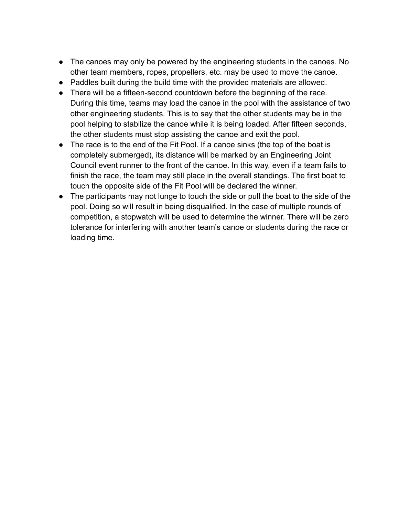- The canoes may only be powered by the engineering students in the canoes. No other team members, ropes, propellers, etc. may be used to move the canoe.
- Paddles built during the build time with the provided materials are allowed.
- There will be a fifteen-second countdown before the beginning of the race. During this time, teams may load the canoe in the pool with the assistance of two other engineering students. This is to say that the other students may be in the pool helping to stabilize the canoe while it is being loaded. After fifteen seconds, the other students must stop assisting the canoe and exit the pool.
- The race is to the end of the Fit Pool. If a canoe sinks (the top of the boat is completely submerged), its distance will be marked by an Engineering Joint Council event runner to the front of the canoe. In this way, even if a team fails to finish the race, the team may still place in the overall standings. The first boat to touch the opposite side of the Fit Pool will be declared the winner.
- The participants may not lunge to touch the side or pull the boat to the side of the pool. Doing so will result in being disqualified. In the case of multiple rounds of competition, a stopwatch will be used to determine the winner. There will be zero tolerance for interfering with another team's canoe or students during the race or loading time.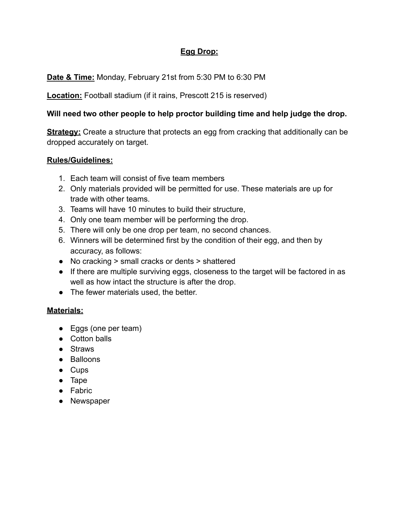## **Egg Drop:**

## **Date & Time:** Monday, February 21st from 5:30 PM to 6:30 PM

**Location:** Football stadium (if it rains, Prescott 215 is reserved)

#### **Will need two other people to help proctor building time and help judge the drop.**

**Strategy:** Create a structure that protects an egg from cracking that additionally can be dropped accurately on target.

#### **Rules/Guidelines:**

- 1. Each team will consist of five team members
- 2. Only materials provided will be permitted for use. These materials are up for trade with other teams.
- 3. Teams will have 10 minutes to build their structure,
- 4. Only one team member will be performing the drop.
- 5. There will only be one drop per team, no second chances.
- 6. Winners will be determined first by the condition of their egg, and then by accuracy, as follows:
- No cracking > small cracks or dents > shattered
- If there are multiple surviving eggs, closeness to the target will be factored in as well as how intact the structure is after the drop.
- The fewer materials used, the better.

## **Materials:**

- Eggs (one per team)
- Cotton balls
- Straws
- Balloons
- Cups
- Tape
- Fabric
- Newspaper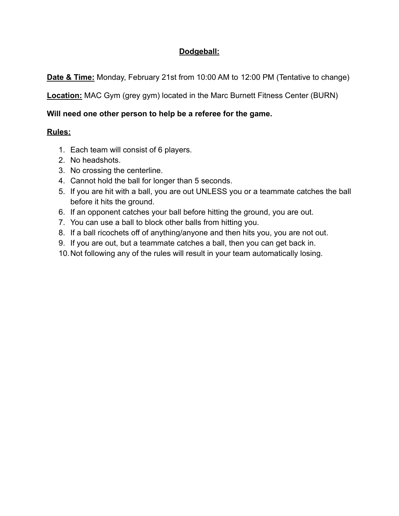## **Dodgeball:**

**Date & Time:** Monday, February 21st from 10:00 AM to 12:00 PM (Tentative to change)

**Location:** MAC Gym (grey gym) located in the Marc Burnett Fitness Center (BURN)

## **Will need one other person to help be a referee for the game.**

## **Rules:**

- 1. Each team will consist of 6 players.
- 2. No headshots.
- 3. No crossing the centerline.
- 4. Cannot hold the ball for longer than 5 seconds.
- 5. If you are hit with a ball, you are out UNLESS you or a teammate catches the ball before it hits the ground.
- 6. If an opponent catches your ball before hitting the ground, you are out.
- 7. You can use a ball to block other balls from hitting you.
- 8. If a ball ricochets off of anything/anyone and then hits you, you are not out.
- 9. If you are out, but a teammate catches a ball, then you can get back in.
- 10.Not following any of the rules will result in your team automatically losing.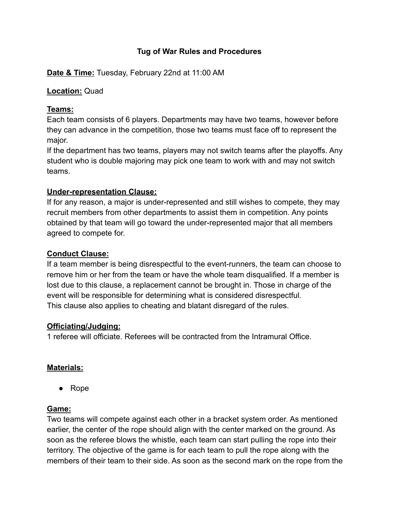#### **Tug of War Rules and Procedures**

**Date & Time:** Tuesday, February 22nd at 11:00 AM

#### **Location:** Quad

#### **Teams:**

Each team consists of 6 players. Departments may have two teams, however before they can advance in the competition, those two teams must face off to represent the major.

If the department has two teams, players may not switch teams after the playoffs. Any student who is double majoring may pick one team to work with and may not switch teams.

#### **Under-representation Clause:**

If for any reason, a major is under-represented and still wishes to compete, they may recruit members from other departments to assist them in competition. Any points obtained by that team will go toward the under-represented major that all members agreed to compete for.

#### **Conduct Clause:**

If a team member is being disrespectful to the event-runners, the team can choose to remove him or her from the team or have the whole team disqualified. If a member is lost due to this clause, a replacement cannot be brought in. Those in charge of the event will be responsible for determining what is considered disrespectful. This clause also applies to cheating and blatant disregard of the rules.

#### **Officiating/Judging:**

1 referee will officiate. Referees will be contracted from the Intramural Office.

## **Materials:**

● Rope

#### **Game:**

Two teams will compete against each other in a bracket system order. As mentioned earlier, the center of the rope should align with the center marked on the ground. As soon as the referee blows the whistle, each team can start pulling the rope into their territory. The objective of the game is for each team to pull the rope along with the members of their team to their side. As soon as the second mark on the rope from the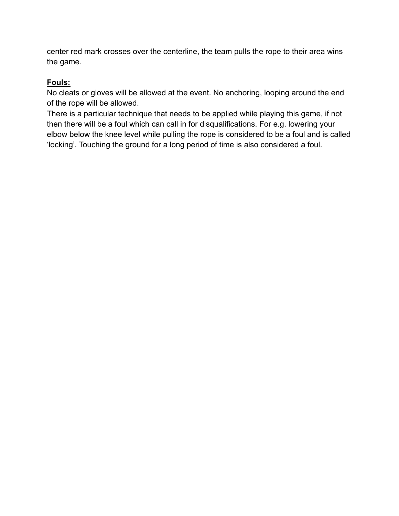center red mark crosses over the centerline, the team pulls the rope to their area wins the game.

#### **Fouls:**

No cleats or gloves will be allowed at the event. No anchoring, looping around the end of the rope will be allowed.

There is a particular technique that needs to be applied while playing this game, if not then there will be a foul which can call in for disqualifications. For e.g. lowering your elbow below the knee level while pulling the rope is considered to be a foul and is called 'locking'. Touching the ground for a long period of time is also considered a foul.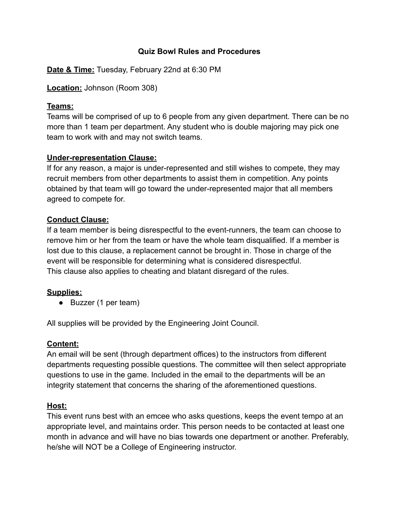#### **Quiz Bowl Rules and Procedures**

**Date & Time:** Tuesday, February 22nd at 6:30 PM

**Location:** Johnson (Room 308)

#### **Teams:**

Teams will be comprised of up to 6 people from any given department. There can be no more than 1 team per department. Any student who is double majoring may pick one team to work with and may not switch teams.

## **Under-representation Clause:**

If for any reason, a major is under-represented and still wishes to compete, they may recruit members from other departments to assist them in competition. Any points obtained by that team will go toward the under-represented major that all members agreed to compete for.

#### **Conduct Clause:**

If a team member is being disrespectful to the event-runners, the team can choose to remove him or her from the team or have the whole team disqualified. If a member is lost due to this clause, a replacement cannot be brought in. Those in charge of the event will be responsible for determining what is considered disrespectful. This clause also applies to cheating and blatant disregard of the rules.

## **Supplies:**

● Buzzer (1 per team)

All supplies will be provided by the Engineering Joint Council.

## **Content:**

An email will be sent (through department offices) to the instructors from different departments requesting possible questions. The committee will then select appropriate questions to use in the game. Included in the email to the departments will be an integrity statement that concerns the sharing of the aforementioned questions.

## **Host:**

This event runs best with an emcee who asks questions, keeps the event tempo at an appropriate level, and maintains order. This person needs to be contacted at least one month in advance and will have no bias towards one department or another. Preferably, he/she will NOT be a College of Engineering instructor.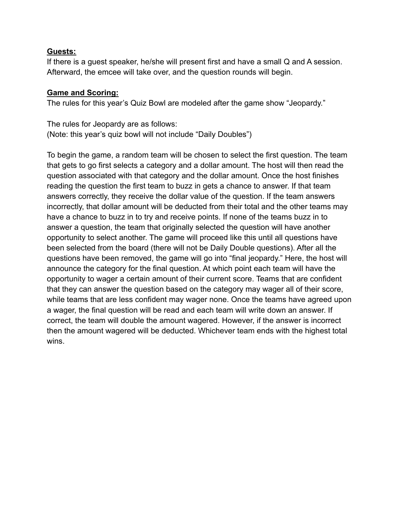#### **Guests:**

If there is a guest speaker, he/she will present first and have a small Q and A session. Afterward, the emcee will take over, and the question rounds will begin.

#### **Game and Scoring:**

The rules for this year's Quiz Bowl are modeled after the game show "Jeopardy."

The rules for Jeopardy are as follows: (Note: this year's quiz bowl will not include "Daily Doubles")

To begin the game, a random team will be chosen to select the first question. The team that gets to go first selects a category and a dollar amount. The host will then read the question associated with that category and the dollar amount. Once the host finishes reading the question the first team to buzz in gets a chance to answer. If that team answers correctly, they receive the dollar value of the question. If the team answers incorrectly, that dollar amount will be deducted from their total and the other teams may have a chance to buzz in to try and receive points. If none of the teams buzz in to answer a question, the team that originally selected the question will have another opportunity to select another. The game will proceed like this until all questions have been selected from the board (there will not be Daily Double questions). After all the questions have been removed, the game will go into "final jeopardy." Here, the host will announce the category for the final question. At which point each team will have the opportunity to wager a certain amount of their current score. Teams that are confident that they can answer the question based on the category may wager all of their score, while teams that are less confident may wager none. Once the teams have agreed upon a wager, the final question will be read and each team will write down an answer. If correct, the team will double the amount wagered. However, if the answer is incorrect then the amount wagered will be deducted. Whichever team ends with the highest total wins.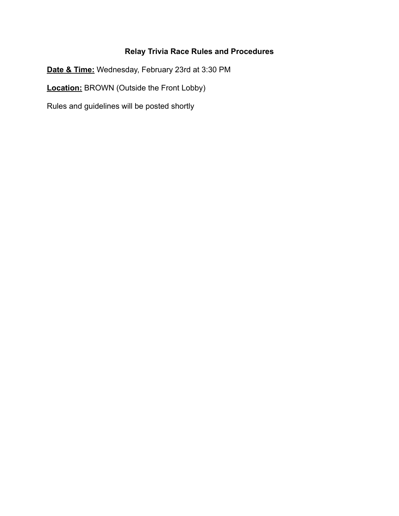## **Relay Trivia Race Rules and Procedures**

**Date & Time:** Wednesday, February 23rd at 3:30 PM **Location:** BROWN (Outside the Front Lobby)

Rules and guidelines will be posted shortly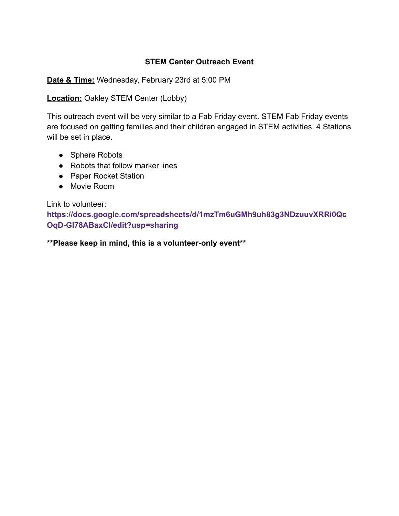#### **STEM Center Outreach Event**

**Date & Time:** Wednesday, February 23rd at 5:00 PM

**Location:** Oakley STEM Center (Lobby)

This outreach event will be very similar to a Fab Friday event. STEM Fab Friday events are focused on getting families and their children engaged in STEM activities. 4 Stations will be set in place.

- Sphere Robots
- Robots that follow marker lines
- Paper Rocket Station
- Movie Room

Link to volunteer:

**[https://docs.google.com/spreadsheets/d/1mzTm6uGMh9uh83g3NDzuuvXRRi0Qc](https://docs.google.com/spreadsheets/d/1mzTm6uGMh9uh83g3NDzuuvXRRi0QcOqD-GI78ABaxCI/edit?usp=sharing) [OqD-GI78ABaxCI/edit?usp=sharing](https://docs.google.com/spreadsheets/d/1mzTm6uGMh9uh83g3NDzuuvXRRi0QcOqD-GI78ABaxCI/edit?usp=sharing)**

**\*\*Please keep in mind, this is a volunteer-only event\*\***